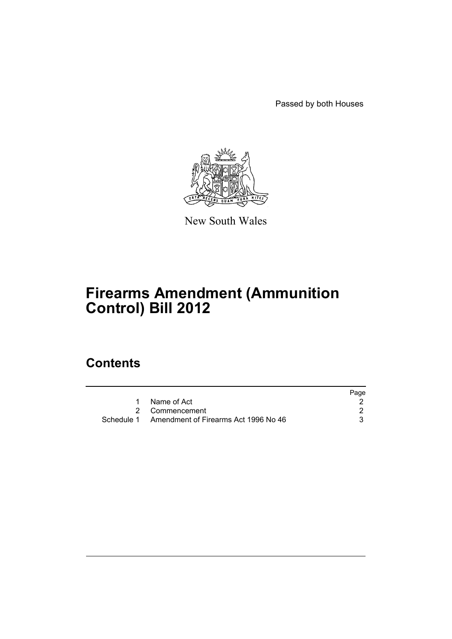Passed by both Houses



New South Wales

# **Firearms Amendment (Ammunition Control) Bill 2012**

## **Contents**

|                                                 | Page |
|-------------------------------------------------|------|
| 1 Name of Act                                   |      |
| 2 Commencement                                  |      |
| Schedule 1 Amendment of Firearms Act 1996 No 46 |      |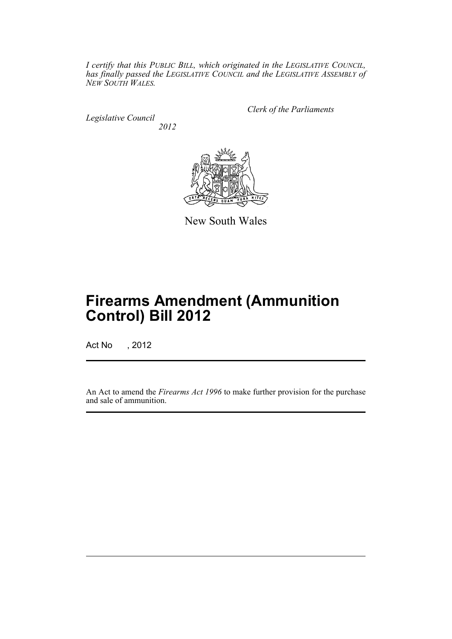*I certify that this PUBLIC BILL, which originated in the LEGISLATIVE COUNCIL, has finally passed the LEGISLATIVE COUNCIL and the LEGISLATIVE ASSEMBLY of NEW SOUTH WALES.*

*Legislative Council 2012* *Clerk of the Parliaments*



New South Wales

# **Firearms Amendment (Ammunition Control) Bill 2012**

Act No , 2012

An Act to amend the *Firearms Act 1996* to make further provision for the purchase and sale of ammunition.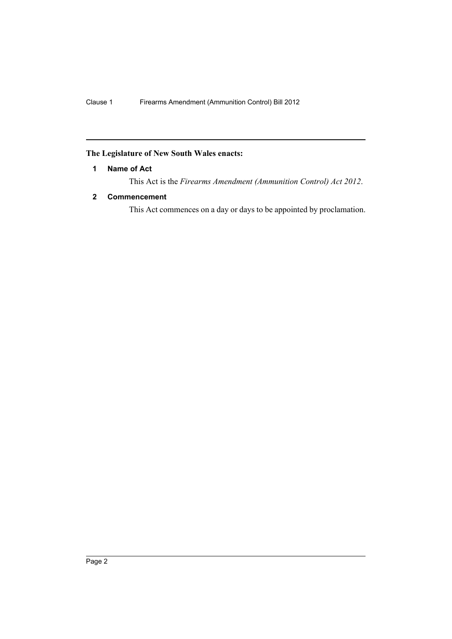## <span id="page-3-0"></span>**The Legislature of New South Wales enacts:**

### **1 Name of Act**

This Act is the *Firearms Amendment (Ammunition Control) Act 2012*.

### <span id="page-3-1"></span>**2 Commencement**

This Act commences on a day or days to be appointed by proclamation.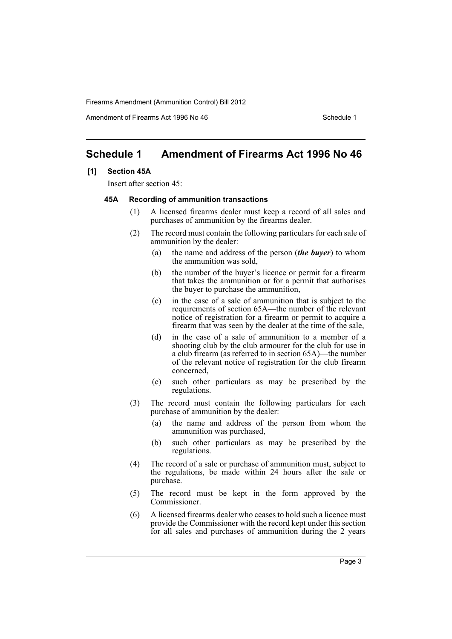Firearms Amendment (Ammunition Control) Bill 2012

Amendment of Firearms Act 1996 No 46 Schedule 1

## <span id="page-4-0"></span>**Schedule 1 Amendment of Firearms Act 1996 No 46**

#### **[1] Section 45A**

Insert after section 45:

#### **45A Recording of ammunition transactions**

- (1) A licensed firearms dealer must keep a record of all sales and purchases of ammunition by the firearms dealer.
- (2) The record must contain the following particulars for each sale of ammunition by the dealer:
	- (a) the name and address of the person (*the buyer*) to whom the ammunition was sold,
	- (b) the number of the buyer's licence or permit for a firearm that takes the ammunition or for a permit that authorises the buyer to purchase the ammunition,
	- (c) in the case of a sale of ammunition that is subject to the requirements of section 65A—the number of the relevant notice of registration for a firearm or permit to acquire a firearm that was seen by the dealer at the time of the sale,
	- (d) in the case of a sale of ammunition to a member of a shooting club by the club armourer for the club for use in a club firearm (as referred to in section 65A)—the number of the relevant notice of registration for the club firearm concerned,
	- (e) such other particulars as may be prescribed by the regulations.
- (3) The record must contain the following particulars for each purchase of ammunition by the dealer:
	- (a) the name and address of the person from whom the ammunition was purchased,
	- (b) such other particulars as may be prescribed by the regulations.
- (4) The record of a sale or purchase of ammunition must, subject to the regulations, be made within 24 hours after the sale or purchase.
- (5) The record must be kept in the form approved by the Commissioner.
- (6) A licensed firearms dealer who ceases to hold such a licence must provide the Commissioner with the record kept under this section for all sales and purchases of ammunition during the 2 years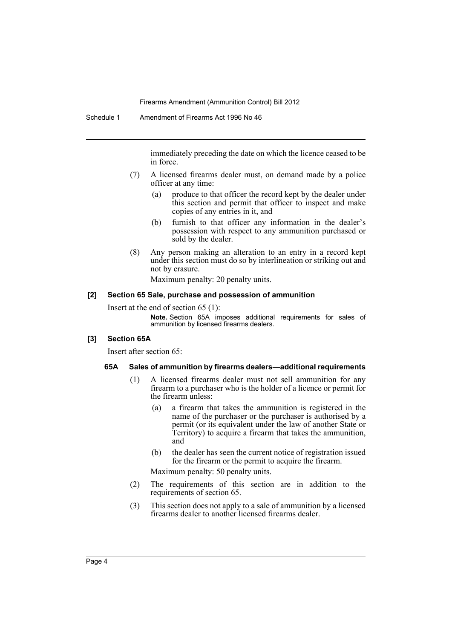#### Firearms Amendment (Ammunition Control) Bill 2012

immediately preceding the date on which the licence ceased to be in force.

- (7) A licensed firearms dealer must, on demand made by a police officer at any time:
	- (a) produce to that officer the record kept by the dealer under this section and permit that officer to inspect and make copies of any entries in it, and
	- (b) furnish to that officer any information in the dealer's possession with respect to any ammunition purchased or sold by the dealer.
- (8) Any person making an alteration to an entry in a record kept under this section must do so by interlineation or striking out and not by erasure.

Maximum penalty: 20 penalty units.

#### **[2] Section 65 Sale, purchase and possession of ammunition**

Insert at the end of section 65 (1):

**Note.** Section 65A imposes additional requirements for sales of ammunition by licensed firearms dealers.

#### **[3] Section 65A**

Insert after section 65:

#### **65A Sales of ammunition by firearms dealers—additional requirements**

- (1) A licensed firearms dealer must not sell ammunition for any firearm to a purchaser who is the holder of a licence or permit for the firearm unless:
	- (a) a firearm that takes the ammunition is registered in the name of the purchaser or the purchaser is authorised by a permit (or its equivalent under the law of another State or Territory) to acquire a firearm that takes the ammunition, and
	- (b) the dealer has seen the current notice of registration issued for the firearm or the permit to acquire the firearm.

Maximum penalty: 50 penalty units.

- (2) The requirements of this section are in addition to the requirements of section 65.
- (3) This section does not apply to a sale of ammunition by a licensed firearms dealer to another licensed firearms dealer.